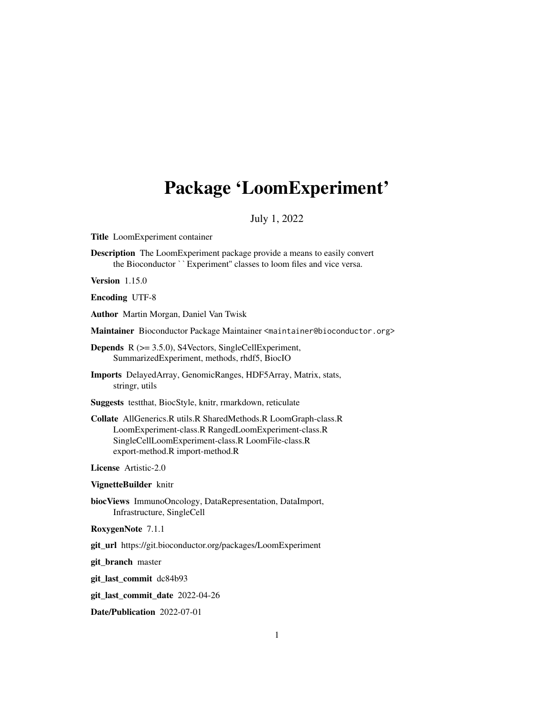# <span id="page-0-0"></span>Package 'LoomExperiment'

# July 1, 2022

Title LoomExperiment container

Description The LoomExperiment package provide a means to easily convert LoomExperiment container<br>**iption** The LoomExperiment package provide a means to easily conv<br>the Bioconductor ``Experiment'' classes to loom files and vice versa.

Version 1.15.0

Encoding UTF-8

Author Martin Morgan, Daniel Van Twisk

Maintainer Bioconductor Package Maintainer <maintainer@bioconductor.org>

Depends R (>= 3.5.0), S4Vectors, SingleCellExperiment, SummarizedExperiment, methods, rhdf5, BiocIO

Imports DelayedArray, GenomicRanges, HDF5Array, Matrix, stats, stringr, utils

Suggests testthat, BiocStyle, knitr, rmarkdown, reticulate

Collate AllGenerics.R utils.R SharedMethods.R LoomGraph-class.R LoomExperiment-class.R RangedLoomExperiment-class.R SingleCellLoomExperiment-class.R LoomFile-class.R export-method.R import-method.R

License Artistic-2.0

VignetteBuilder knitr

biocViews ImmunoOncology, DataRepresentation, DataImport, Infrastructure, SingleCell

RoxygenNote 7.1.1

git\_url https://git.bioconductor.org/packages/LoomExperiment

git\_branch master

git\_last\_commit dc84b93

git\_last\_commit\_date 2022-04-26

Date/Publication 2022-07-01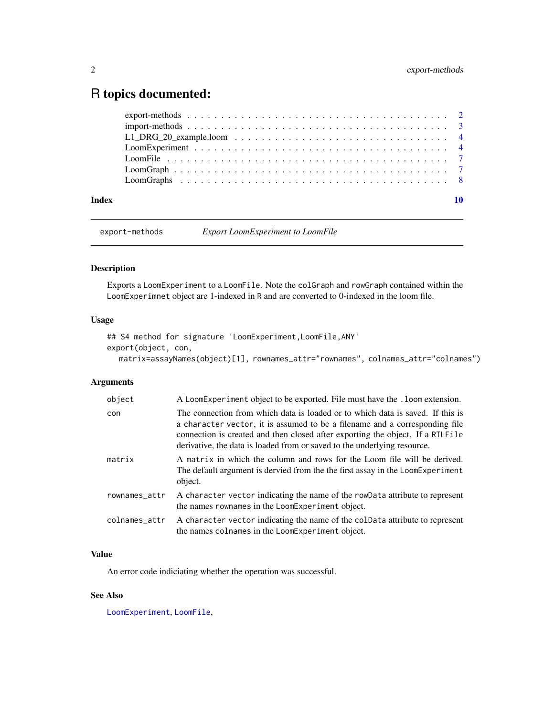# <span id="page-1-0"></span>R topics documented:

| Index | 10 |
|-------|----|
|       |    |
|       |    |
|       |    |
|       |    |
|       |    |
|       |    |
|       |    |

export-methods *Export LoomExperiment to LoomFile*

# Description

Exports a LoomExperiment to a LoomFile. Note the colGraph and rowGraph contained within the LoomExperimnet object are 1-indexed in R and are converted to 0-indexed in the loom file.

#### Usage

```
## S4 method for signature 'LoomExperiment,LoomFile,ANY'
export(object, con,
  matrix=assayNames(object)[1], rownames_attr="rownames", colnames_attr="colnames")
```
# Arguments

| object        | A LoomExperiment object to be exported. File must have the . loom extension.                                                                                                                                                                                                                                                |
|---------------|-----------------------------------------------------------------------------------------------------------------------------------------------------------------------------------------------------------------------------------------------------------------------------------------------------------------------------|
| con           | The connection from which data is loaded or to which data is saved. If this is<br>a character vector, it is assumed to be a filename and a corresponding file<br>connection is created and then closed after exporting the object. If a RTLFile<br>derivative, the data is loaded from or saved to the underlying resource. |
| matrix        | A matrix in which the column and rows for the Loom file will be derived.<br>The default argument is dervied from the the first assay in the LoomExperiment<br>object.                                                                                                                                                       |
| rownames_attr | A character vector indicating the name of the rowData attribute to represent<br>the names rownames in the LoomExperiment object.                                                                                                                                                                                            |
| colnames_attr | A character vector indicating the name of the coldata attribute to represent<br>the names colnames in the LoomExperiment object.                                                                                                                                                                                            |

#### Value

An error code indiciating whether the operation was successful.

# See Also

[LoomExperiment](#page-3-1), [LoomFile](#page-6-1),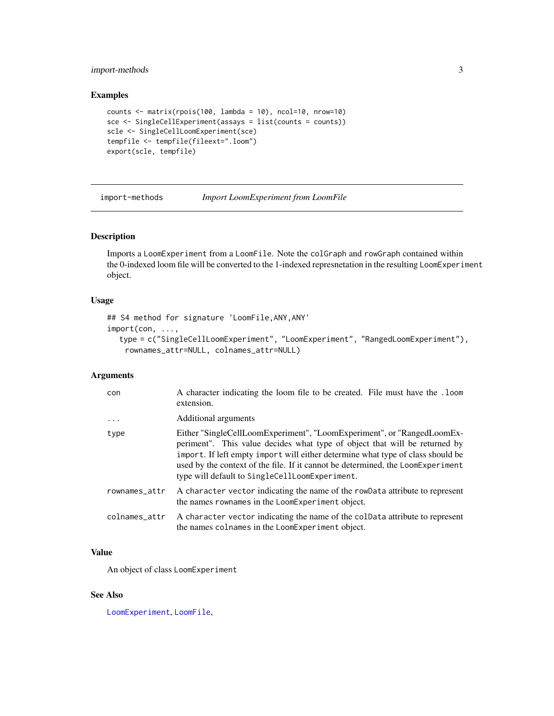# <span id="page-2-0"></span>import-methods 3

#### Examples

```
counts <- matrix(rpois(100, lambda = 10), ncol=10, nrow=10)
sce <- SingleCellExperiment(assays = list(counts = counts))
scle <- SingleCellLoomExperiment(sce)
tempfile <- tempfile(fileext=".loom")
export(scle, tempfile)
```
import-methods *Import LoomExperiment from LoomFile*

#### Description

Imports a LoomExperiment from a LoomFile. Note the colGraph and rowGraph contained within the 0-indexed loom file will be converted to the 1-indexed represnetation in the resulting LoomExperiment object.

#### Usage

```
## S4 method for signature 'LoomFile,ANY,ANY'
import(con, ...,
  type = c("SingleCellLoomExperiment", "LoomExperiment", "RangedLoomExperiment"),
    rownames_attr=NULL, colnames_attr=NULL)
```
#### Arguments

| con           | A character indicating the loom file to be created. File must have the .100m<br>extension.                                                                                                                                                                                                                                                                                   |
|---------------|------------------------------------------------------------------------------------------------------------------------------------------------------------------------------------------------------------------------------------------------------------------------------------------------------------------------------------------------------------------------------|
| .             | Additional arguments                                                                                                                                                                                                                                                                                                                                                         |
| type          | Either "SingleCellLoomExperiment", "LoomExperiment", or "RangedLoomEx-<br>periment". This value decides what type of object that will be returned by<br>import. If left empty import will either determine what type of class should be<br>used by the context of the file. If it cannot be determined, the LoomExperiment<br>type will default to SingleCellLoomExperiment. |
| rownames_attr | A character vector indicating the name of the rowData attribute to represent<br>the names rownames in the LoomExperiment object.                                                                                                                                                                                                                                             |
| colnames_attr | A character vector indicating the name of the coldata attribute to represent<br>the names colnames in the LoomExperiment object.                                                                                                                                                                                                                                             |

#### Value

An object of class LoomExperiment

# See Also

[LoomExperiment](#page-3-1), [LoomFile](#page-6-1),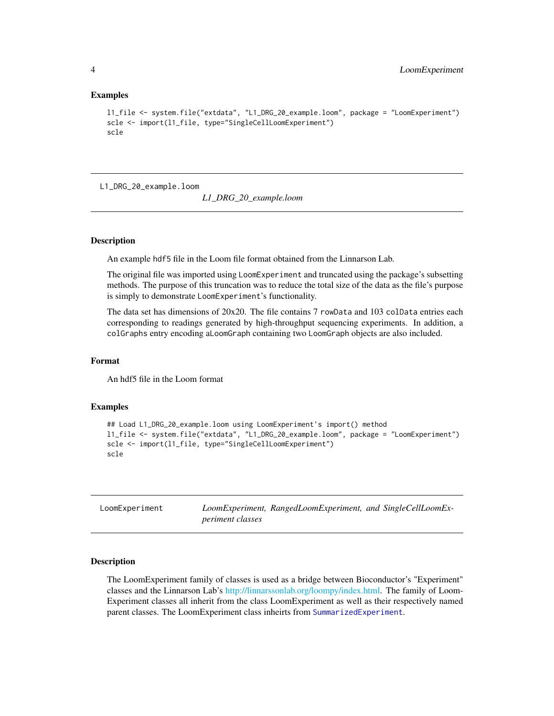#### Examples

```
l1_file <- system.file("extdata", "L1_DRG_20_example.loom", package = "LoomExperiment")
scle <- import(l1_file, type="SingleCellLoomExperiment")
scle
```
L1\_DRG\_20\_example.loom

*L1\_DRG\_20\_example.loom*

#### Description

An example hdf5 file in the Loom file format obtained from the Linnarson Lab.

The original file was imported using LoomExperiment and truncated using the package's subsetting methods. The purpose of this truncation was to reduce the total size of the data as the file's purpose is simply to demonstrate LoomExperiment's functionality.

The data set has dimensions of 20x20. The file contains 7 rowData and 103 colData entries each corresponding to readings generated by high-throughput sequencing experiments. In addition, a colGraphs entry encoding aLoomGraph containing two LoomGraph objects are also included.

#### Format

An hdf5 file in the Loom format

#### Examples

```
## Load L1_DRG_20_example.loom using LoomExperiment's import() method
l1_file <- system.file("extdata", "L1_DRG_20_example.loom", package = "LoomExperiment")
scle <- import(l1_file, type="SingleCellLoomExperiment")
scle
```
<span id="page-3-2"></span>

| LoomExperiment |                  | LoomExperiment, RangedLoomExperiment, and SingleCellLoomEx- |  |
|----------------|------------------|-------------------------------------------------------------|--|
|                | periment classes |                                                             |  |

#### <span id="page-3-1"></span>Description

The LoomExperiment family of classes is used as a bridge between Bioconductor's "Experiment" classes and the Linnarson Lab's [http://linnarssonlab.org/loompy/index.html.](#page-0-0) The family of Loom-Experiment classes all inherit from the class LoomExperiment as well as their respectively named parent classes. The LoomExperiment class inheirts from [SummarizedExperiment](#page-0-0).

<span id="page-3-0"></span>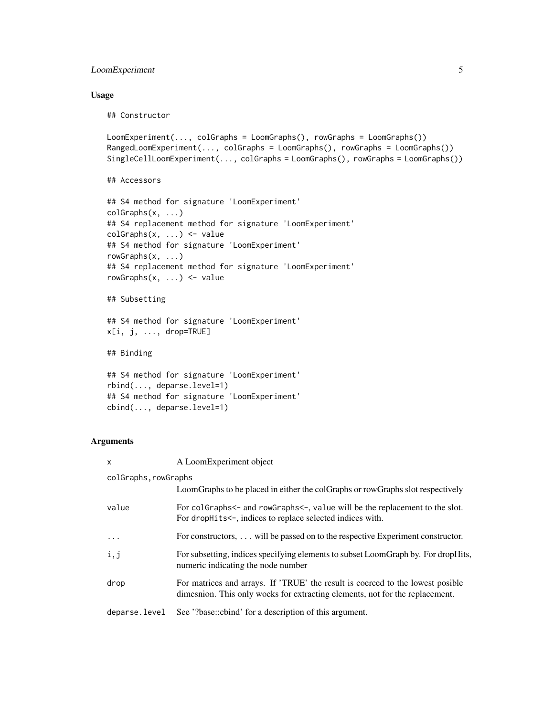# LoomExperiment 5

#### Usage

## Constructor

```
LoomExperiment(..., colGraphs = LoomGraphs(), rowGraphs = LoomGraphs())
RangedLoomExperiment(..., colGraphs = LoomGraphs(), rowGraphs = LoomGraphs())
SingleCellLoomExperiment(..., colGraphs = LoomGraphs(), rowGraphs = LoomGraphs())
```

```
## Accessors
```

```
## S4 method for signature 'LoomExperiment'
colGraphs(x, ...)
## S4 replacement method for signature 'LoomExperiment'
colGraphs(x, ...) \leftarrow value## S4 method for signature 'LoomExperiment'
rowGraphs(x, ...)
## S4 replacement method for signature 'LoomExperiment'
rowGraphs(x, ...) <- value
```

```
## Subsetting
```

```
## S4 method for signature 'LoomExperiment'
x[i, j, ..., drop=TRUE]
```
## Binding

```
## S4 method for signature 'LoomExperiment'
rbind(..., deparse.level=1)
## S4 method for signature 'LoomExperiment'
cbind(..., deparse.level=1)
```
#### Arguments

| $\mathsf{x}$         | A LoomExperiment object                                                                                                                                        |  |  |  |  |
|----------------------|----------------------------------------------------------------------------------------------------------------------------------------------------------------|--|--|--|--|
| colGraphs, rowGraphs |                                                                                                                                                                |  |  |  |  |
|                      | LoomGraphs to be placed in either the colGraphs or rowGraphs slot respectively                                                                                 |  |  |  |  |
| value                | For colGraphs<- and rowGraphs<-, value will be the replacement to the slot.<br>For drophits $\leftarrow$ , indices to replace selected indices with.           |  |  |  |  |
| $\cdot$              | For constructors, $\dots$ will be passed on to the respective Experiment constructor.                                                                          |  |  |  |  |
| i,j                  | For subsetting, indices specifying elements to subset LoomGraph by. For dropHits,<br>numeric indicating the node number                                        |  |  |  |  |
| drop                 | For matrices and arrays. If 'TRUE' the result is coerced to the lowest posible<br>dimesnion. This only woeks for extracting elements, not for the replacement. |  |  |  |  |
| deparse.level        | See '?base::cbind' for a description of this argument.                                                                                                         |  |  |  |  |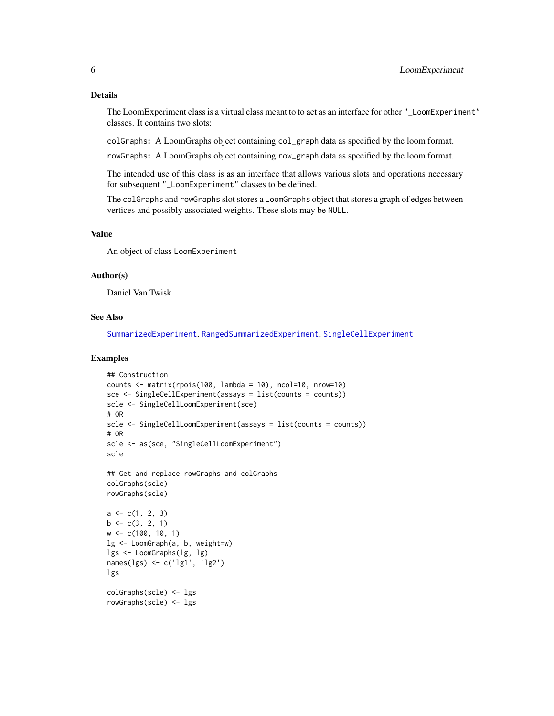### <span id="page-5-0"></span>Details

The LoomExperiment class is a virtual class meant to to act as an interface for other "\_LoomExperiment" classes. It contains two slots:

colGraphs: A LoomGraphs object containing col\_graph data as specified by the loom format.

rowGraphs: A LoomGraphs object containing row\_graph data as specified by the loom format.

The intended use of this class is as an interface that allows various slots and operations necessary for subsequent "\_LoomExperiment" classes to be defined.

The colGraphs and rowGraphs slot stores a LoomGraphs object that stores a graph of edges between vertices and possibly associated weights. These slots may be NULL.

# Value

An object of class LoomExperiment

#### Author(s)

Daniel Van Twisk

#### See Also

[SummarizedExperiment](#page-0-0), [RangedSummarizedExperiment](#page-0-0), [SingleCellExperiment](#page-0-0)

#### Examples

```
## Construction
counts \leq matrix(rpois(100, lambda = 10), ncol=10, nrow=10)
sce <- SingleCellExperiment(assays = list(counts = counts))
scle <- SingleCellLoomExperiment(sce)
# OR
scle <- SingleCellLoomExperiment(assays = list(counts = counts))
# OR
scle <- as(sce, "SingleCellLoomExperiment")
scle
## Get and replace rowGraphs and colGraphs
colGraphs(scle)
rowGraphs(scle)
a \leftarrow c(1, 2, 3)b \leq c(3, 2, 1)w <- c(100, 10, 1)
lg <- LoomGraph(a, b, weight=w)
lgs <- LoomGraphs(lg, lg)
names(lgs) <- c('lg1', 'lg2')
lgs
colGraphs(scle) <- lgs
rowGraphs(scle) <- lgs
```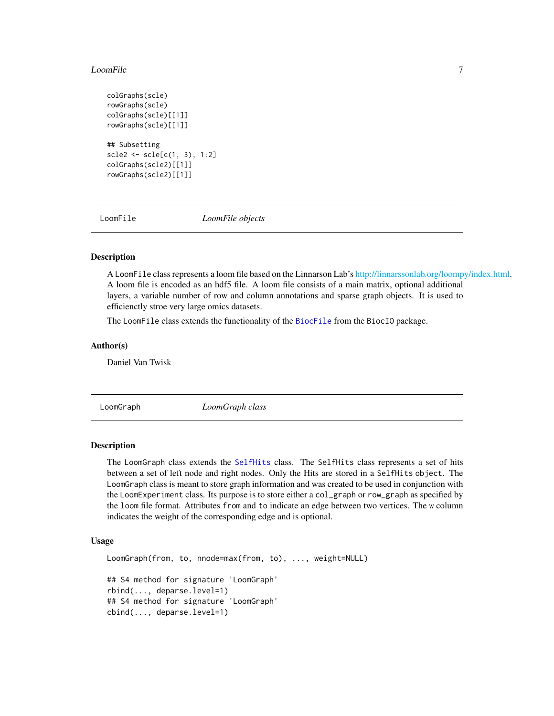#### <span id="page-6-0"></span>LoomFile 7

```
colGraphs(scle)
rowGraphs(scle)
colGraphs(scle)[[1]]
rowGraphs(scle)[[1]]
## Subsetting
scle2 <- scle[c(1, 3), 1:2]
colGraphs(scle2)[[1]]
rowGraphs(scle2)[[1]]
```
LoomFile *LoomFile objects*

### <span id="page-6-1"></span>Description

A LoomFile class represents a loom file based on the Linnarson Lab's [http://linnarssonlab.org/loompy/index.html.](#page-0-0) A loom file is encoded as an hdf5 file. A loom file consists of a main matrix, optional additional layers, a variable number of row and column annotations and sparse graph objects. It is used to efficienctly stroe very large omics datasets.

The LoomFile class extends the functionality of the [BiocFile](#page-0-0) from the BiocIO package.

#### Author(s)

Daniel Van Twisk

<span id="page-6-2"></span>LoomGraph *LoomGraph class*

#### Description

The LoomGraph class extends the [SelfHits](#page-0-0) class. The SelfHits class represents a set of hits between a set of left node and right nodes. Only the Hits are stored in a SelfHits object. The LoomGraph class is meant to store graph information and was created to be used in conjunction with the LoomExperiment class. Its purpose is to store either a col\_graph or row\_graph as specified by the loom file format. Attributes from and to indicate an edge between two vertices. The w column indicates the weight of the corresponding edge and is optional.

### Usage

```
LoomGraph(from, to, nnode=max(from, to), ..., weight=NULL)
## S4 method for signature 'LoomGraph'
rbind(..., deparse.level=1)
## S4 method for signature 'LoomGraph'
cbind(..., deparse.level=1)
```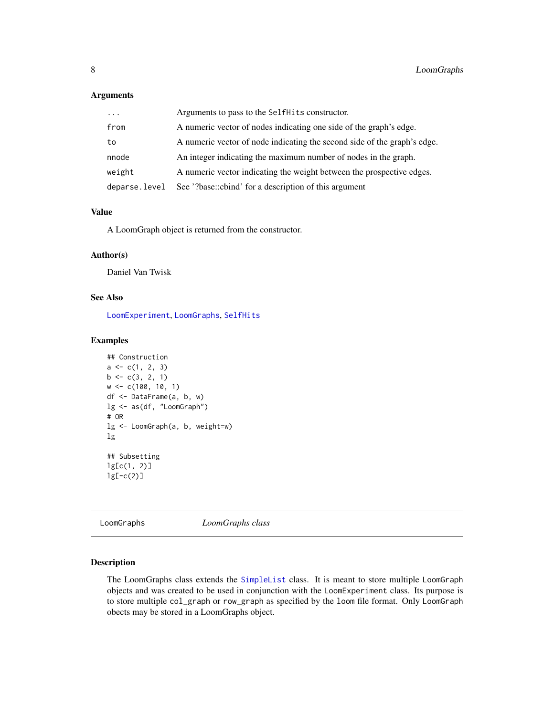# <span id="page-7-0"></span>Arguments

| $\cdot$       | Arguments to pass to the SelfHits constructor.                           |
|---------------|--------------------------------------------------------------------------|
| from          | A numeric vector of nodes indicating one side of the graph's edge.       |
| to            | A numeric vector of node indicating the second side of the graph's edge. |
| nnode         | An integer indicating the maximum number of nodes in the graph.          |
| weight        | A numeric vector indicating the weight between the prospective edges.    |
| deparse.level | See '?base::cbind' for a description of this argument                    |

#### Value

A LoomGraph object is returned from the constructor.

#### Author(s)

Daniel Van Twisk

# See Also

[LoomExperiment](#page-3-2), [LoomGraphs](#page-7-1), [SelfHits](#page-0-0)

### Examples

```
## Construction
a \leftarrow c(1, 2, 3)b \leftarrow c(3, 2, 1)w <- c(100, 10, 1)
df <- DataFrame(a, b, w)
lg <- as(df, "LoomGraph")
# OR
lg <- LoomGraph(a, b, weight=w)
lg
## Subsetting
lg[c(1, 2)]
lg[-c(2)]
```
<span id="page-7-1"></span>LoomGraphs *LoomGraphs class*

#### Description

The LoomGraphs class extends the [SimpleList](#page-0-0) class. It is meant to store multiple LoomGraph objects and was created to be used in conjunction with the LoomExperiment class. Its purpose is to store multiple col\_graph or row\_graph as specified by the loom file format. Only LoomGraph obects may be stored in a LoomGraphs object.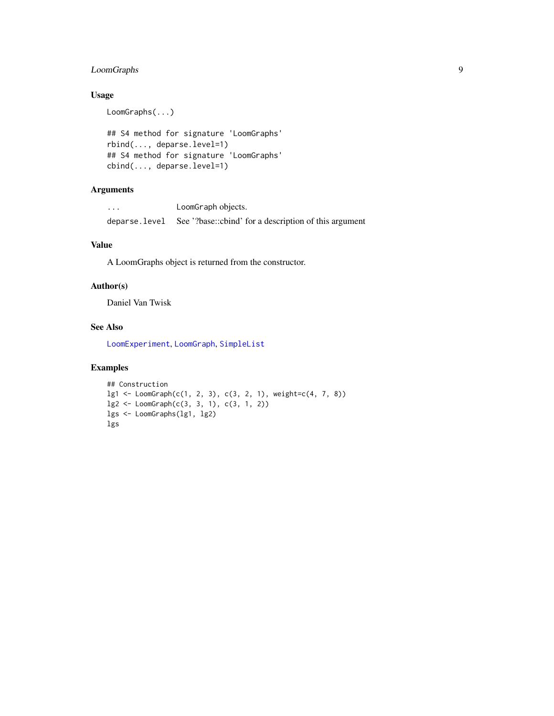# <span id="page-8-0"></span>LoomGraphs 9

# Usage

LoomGraphs(...)

```
## S4 method for signature 'LoomGraphs'
rbind(..., deparse.level=1)
## S4 method for signature 'LoomGraphs'
cbind(..., deparse.level=1)
```
# Arguments

... LoomGraph objects. deparse.level See '?base::cbind' for a description of this argument

# Value

A LoomGraphs object is returned from the constructor.

#### Author(s)

Daniel Van Twisk

#### See Also

[LoomExperiment](#page-3-2), [LoomGraph](#page-6-2), [SimpleList](#page-0-0)

# Examples

```
## Construction
lg1 <- LoomGraph(c(1, 2, 3), c(3, 2, 1), weight=c(4, 7, 8))
lg2 <- LoomGraph(c(3, 3, 1), c(3, 1, 2))
lgs <- LoomGraphs(lg1, lg2)
lgs
```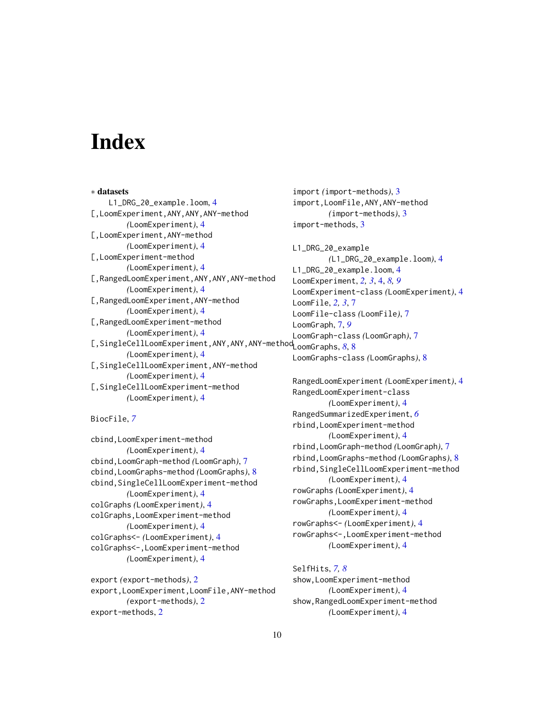# <span id="page-9-0"></span>**Index**

∗ datasets L1\_DRG\_20\_example.loom, [4](#page-3-0) [,LoomExperiment,ANY,ANY,ANY-method *(*LoomExperiment*)*, [4](#page-3-0) [,LoomExperiment,ANY-method *(*LoomExperiment*)*, [4](#page-3-0) [,LoomExperiment-method *(*LoomExperiment*)*, [4](#page-3-0) [,RangedLoomExperiment,ANY,ANY,ANY-method *(*LoomExperiment*)*, [4](#page-3-0) [,RangedLoomExperiment,ANY-method *(*LoomExperiment*)*, [4](#page-3-0) [,RangedLoomExperiment-method *(*LoomExperiment*)*, [4](#page-3-0) [,SingleCellLoomExperiment,ANY,ANY,ANY-method LoomGraphs, *[8](#page-7-0)*, [8](#page-7-0) *(*LoomExperiment*)*, [4](#page-3-0) [,SingleCellLoomExperiment,ANY-method *(*LoomExperiment*)*, [4](#page-3-0) [,SingleCellLoomExperiment-method *(*LoomExperiment*)*, [4](#page-3-0)

BiocFile, *[7](#page-6-0)*

cbind,LoomExperiment-method *(*LoomExperiment*)*, [4](#page-3-0) cbind,LoomGraph-method *(*LoomGraph*)*, [7](#page-6-0) cbind,LoomGraphs-method *(*LoomGraphs*)*, [8](#page-7-0) cbind, SingleCellLoomExperiment-method *(*LoomExperiment*)*, [4](#page-3-0) colGraphs *(*LoomExperiment*)*, [4](#page-3-0) colGraphs,LoomExperiment-method *(*LoomExperiment*)*, [4](#page-3-0) colGraphs<- *(*LoomExperiment*)*, [4](#page-3-0) colGraphs<-,LoomExperiment-method *(*LoomExperiment*)*, [4](#page-3-0)

export *(*export-methods*)*, [2](#page-1-0) export,LoomExperiment,LoomFile,ANY-method *(*export-methods*)*, [2](#page-1-0) export-methods, [2](#page-1-0)

import *(*import-methods*)*, [3](#page-2-0) import,LoomFile,ANY,ANY-method *(*import-methods*)*, [3](#page-2-0) import-methods, [3](#page-2-0)

L1\_DRG\_20\_example *(*L1\_DRG\_20\_example.loom*)*, [4](#page-3-0) L1\_DRG\_20\_example.loom, [4](#page-3-0) LoomExperiment, *[2,](#page-1-0) [3](#page-2-0)*, [4,](#page-3-0) *[8,](#page-7-0) [9](#page-8-0)* LoomExperiment-class *(*LoomExperiment*)*, [4](#page-3-0) LoomFile, *[2,](#page-1-0) [3](#page-2-0)*, [7](#page-6-0) LoomFile-class *(*LoomFile*)*, [7](#page-6-0) LoomGraph, [7,](#page-6-0) *[9](#page-8-0)* LoomGraph-class *(*LoomGraph*)*, [7](#page-6-0) LoomGraphs-class *(*LoomGraphs*)*, [8](#page-7-0)

RangedLoomExperiment *(*LoomExperiment*)*, [4](#page-3-0) RangedLoomExperiment-class *(*LoomExperiment*)*, [4](#page-3-0) RangedSummarizedExperiment, *[6](#page-5-0)* rbind,LoomExperiment-method *(*LoomExperiment*)*, [4](#page-3-0) rbind,LoomGraph-method *(*LoomGraph*)*, [7](#page-6-0) rbind,LoomGraphs-method *(*LoomGraphs*)*, [8](#page-7-0) rbind, SingleCellLoomExperiment-method *(*LoomExperiment*)*, [4](#page-3-0) rowGraphs *(*LoomExperiment*)*, [4](#page-3-0) rowGraphs,LoomExperiment-method *(*LoomExperiment*)*, [4](#page-3-0) rowGraphs<- *(*LoomExperiment*)*, [4](#page-3-0) rowGraphs<-,LoomExperiment-method *(*LoomExperiment*)*, [4](#page-3-0)

SelfHits, *[7,](#page-6-0) [8](#page-7-0)* show,LoomExperiment-method *(*LoomExperiment*)*, [4](#page-3-0) show,RangedLoomExperiment-method *(*LoomExperiment*)*, [4](#page-3-0)